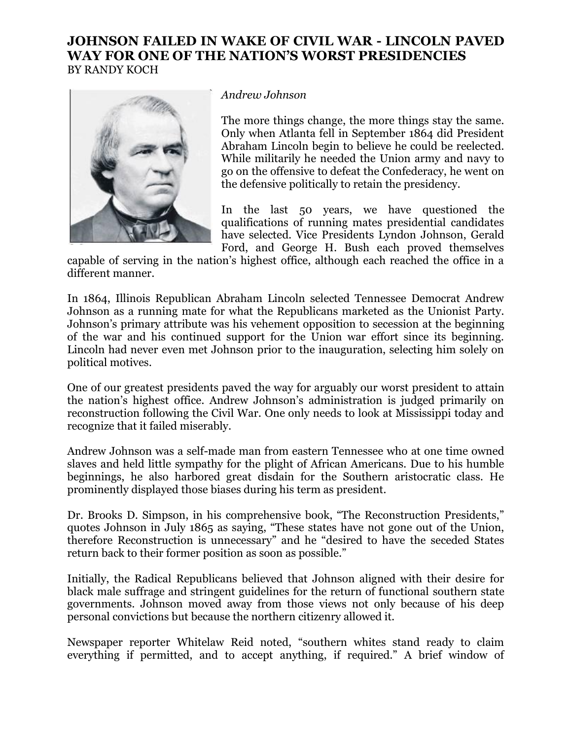## **JOHNSON FAILED IN WAKE OF CIVIL WAR - LINCOLN PAVED WAY FOR ONE OF THE NATION'S WORST PRESIDENCIES** BY RANDY KOCH



## *Andrew Johnson*

The more things change, the more things stay the same. Only when Atlanta fell in September 1864 did President Abraham Lincoln begin to believe he could be reelected. While militarily he needed the Union army and navy to go on the offensive to defeat the Confederacy, he went on the defensive politically to retain the presidency.

In the last 50 years, we have questioned the qualifications of running mates presidential candidates have selected. Vice Presidents Lyndon Johnson, Gerald Ford, and George H. Bush each proved themselves

capable of serving in the nation's highest office, although each reached the office in a different manner.

In 1864, Illinois Republican Abraham Lincoln selected Tennessee Democrat Andrew Johnson as a running mate for what the Republicans marketed as the Unionist Party. Johnson's primary attribute was his vehement opposition to secession at the beginning of the war and his continued support for the Union war effort since its beginning. Lincoln had never even met Johnson prior to the inauguration, selecting him solely on political motives.

One of our greatest presidents paved the way for arguably our worst president to attain the nation's highest office. Andrew Johnson's administration is judged primarily on reconstruction following the Civil War. One only needs to look at Mississippi today and recognize that it failed miserably.

Andrew Johnson was a self-made man from eastern Tennessee who at one time owned slaves and held little sympathy for the plight of African Americans. Due to his humble beginnings, he also harbored great disdain for the Southern aristocratic class. He prominently displayed those biases during his term as president.

Dr. Brooks D. Simpson, in his comprehensive book, "The Reconstruction Presidents," quotes Johnson in July 1865 as saying, "These states have not gone out of the Union, therefore Reconstruction is unnecessary" and he "desired to have the seceded States return back to their former position as soon as possible."

Initially, the Radical Republicans believed that Johnson aligned with their desire for black male suffrage and stringent guidelines for the return of functional southern state governments. Johnson moved away from those views not only because of his deep personal convictions but because the northern citizenry allowed it.

Newspaper reporter Whitelaw Reid noted, "southern whites stand ready to claim everything if permitted, and to accept anything, if required." A brief window of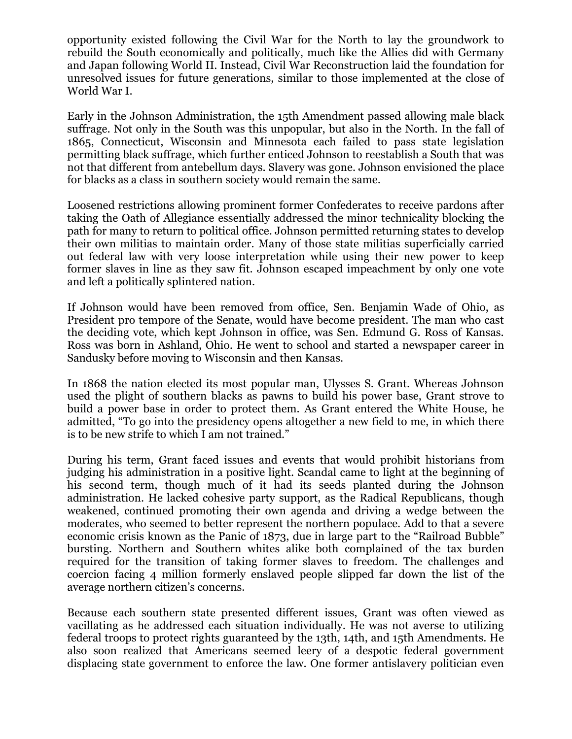opportunity existed following the Civil War for the North to lay the groundwork to rebuild the South economically and politically, much like the Allies did with Germany and Japan following World II. Instead, Civil War Reconstruction laid the foundation for unresolved issues for future generations, similar to those implemented at the close of World War I.

Early in the Johnson Administration, the 15th Amendment passed allowing male black suffrage. Not only in the South was this unpopular, but also in the North. In the fall of 1865, Connecticut, Wisconsin and Minnesota each failed to pass state legislation permitting black suffrage, which further enticed Johnson to reestablish a South that was not that different from antebellum days. Slavery was gone. Johnson envisioned the place for blacks as a class in southern society would remain the same.

Loosened restrictions allowing prominent former Confederates to receive pardons after taking the Oath of Allegiance essentially addressed the minor technicality blocking the path for many to return to political office. Johnson permitted returning states to develop their own militias to maintain order. Many of those state militias superficially carried out federal law with very loose interpretation while using their new power to keep former slaves in line as they saw fit. Johnson escaped impeachment by only one vote and left a politically splintered nation.

If Johnson would have been removed from office, Sen. Benjamin Wade of Ohio, as President pro tempore of the Senate, would have become president. The man who cast the deciding vote, which kept Johnson in office, was Sen. Edmund G. Ross of Kansas. Ross was born in Ashland, Ohio. He went to school and started a newspaper career in Sandusky before moving to Wisconsin and then Kansas.

In 1868 the nation elected its most popular man, Ulysses S. Grant. Whereas Johnson used the plight of southern blacks as pawns to build his power base, Grant strove to build a power base in order to protect them. As Grant entered the White House, he admitted, "To go into the presidency opens altogether a new field to me, in which there is to be new strife to which I am not trained."

During his term, Grant faced issues and events that would prohibit historians from judging his administration in a positive light. Scandal came to light at the beginning of his second term, though much of it had its seeds planted during the Johnson administration. He lacked cohesive party support, as the Radical Republicans, though weakened, continued promoting their own agenda and driving a wedge between the moderates, who seemed to better represent the northern populace. Add to that a severe economic crisis known as the Panic of 1873, due in large part to the "Railroad Bubble" bursting. Northern and Southern whites alike both complained of the tax burden required for the transition of taking former slaves to freedom. The challenges and coercion facing 4 million formerly enslaved people slipped far down the list of the average northern citizen's concerns.

Because each southern state presented different issues, Grant was often viewed as vacillating as he addressed each situation individually. He was not averse to utilizing federal troops to protect rights guaranteed by the 13th, 14th, and 15th Amendments. He also soon realized that Americans seemed leery of a despotic federal government displacing state government to enforce the law. One former antislavery politician even